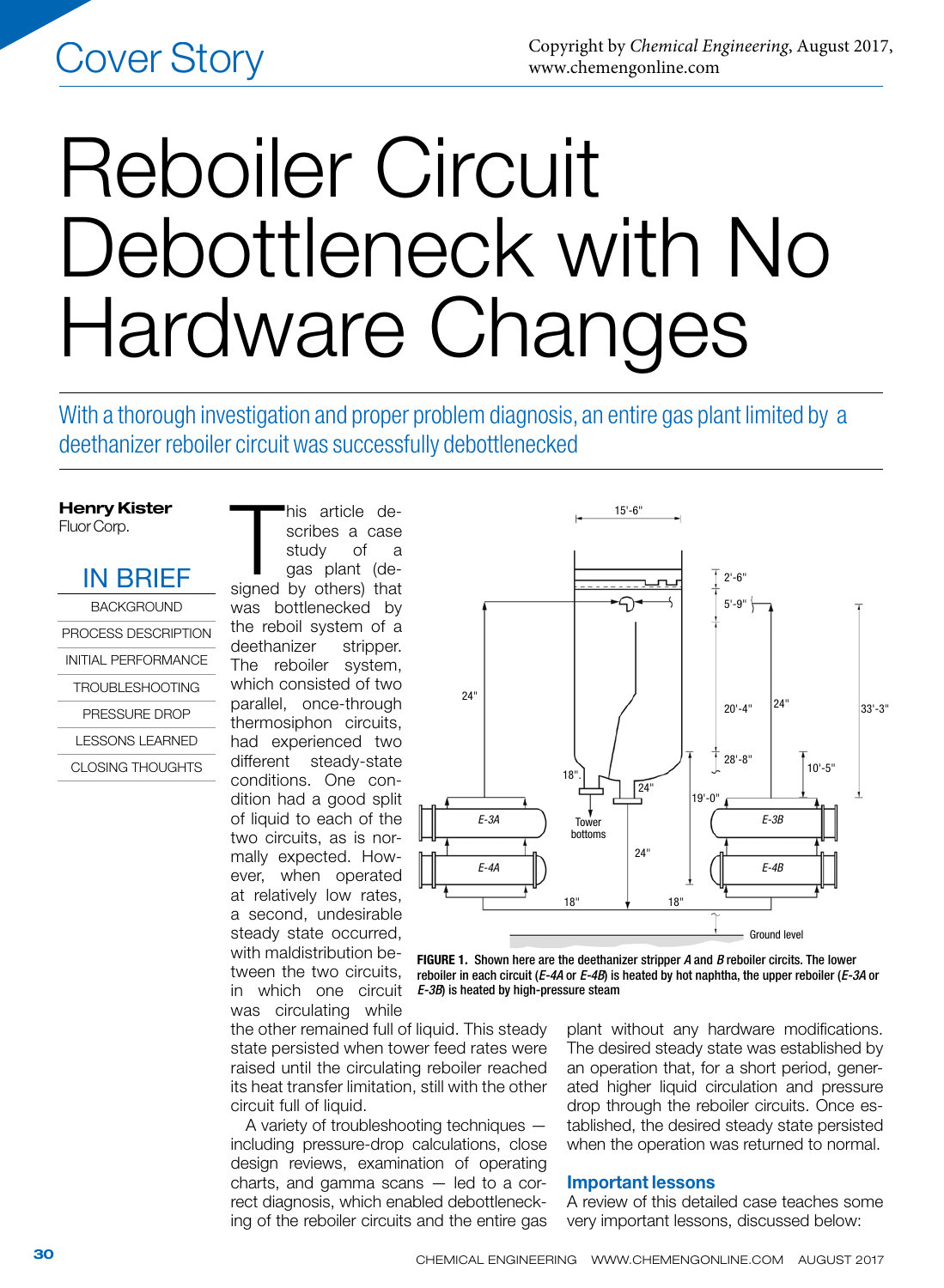# Reboiler Circuit Debottleneck with No Hardware Changes

With a thorough investigation and proper problem diagnosis, an entire gas plant limited by a deethanizer reboiler circuit was successfully debottlenecked

## Henry Kister Fluor Corp.

IN BRIEF **BACKGROUND** PROCESS DESCRIPTION

INITIAL PERFORMANCE TROUBLESHOOTING PRESSURE DROP LESSONS LEARNED

CLOSING THOUGHTS

his article de-<br>scribes a case<br>study of a<br>gas plant (de-<br>signed by others) that his article describes a case study of a gas plant (dewas bottlenecked by the reboil system of a deethanizer stripper. The reboiler system, which consisted of two parallel, once-through thermosiphon circuits, had experienced two different steady-state conditions. One condition had a good split of liquid to each of the two circuits, as is normally expected. However, when operated at relatively low rates, a second, undesirable steady state occurred, with maldistribution between the two circuits, in which one circuit



15'-6"

FIGURE 1. Shown here are the deethanizer stripper *A* and *B* reboiler circits. The lower reboiler in each circuit (*E-4A* or *E-4B*) is heated by hot naphtha, the upper reboiler (*E-3A* or *E-3B*) is heated by high-pressure steam

was circulating while the other remained full of liquid. This steady state persisted when tower feed rates were raised until the circulating reboiler reached its heat transfer limitation, still with the other circuit full of liquid.

A variety of troubleshooting techniques including pressure-drop calculations, close design reviews, examination of operating charts, and gamma scans — led to a correct diagnosis, which enabled debottlenecking of the reboiler circuits and the entire gas plant without any hardware modifications. The desired steady state was established by an operation that, for a short period, generated higher liquid circulation and pressure drop through the reboiler circuits. Once established, the desired steady state persisted when the operation was returned to normal.

# Important lessons

A review of this detailed case teaches some very important lessons, discussed below: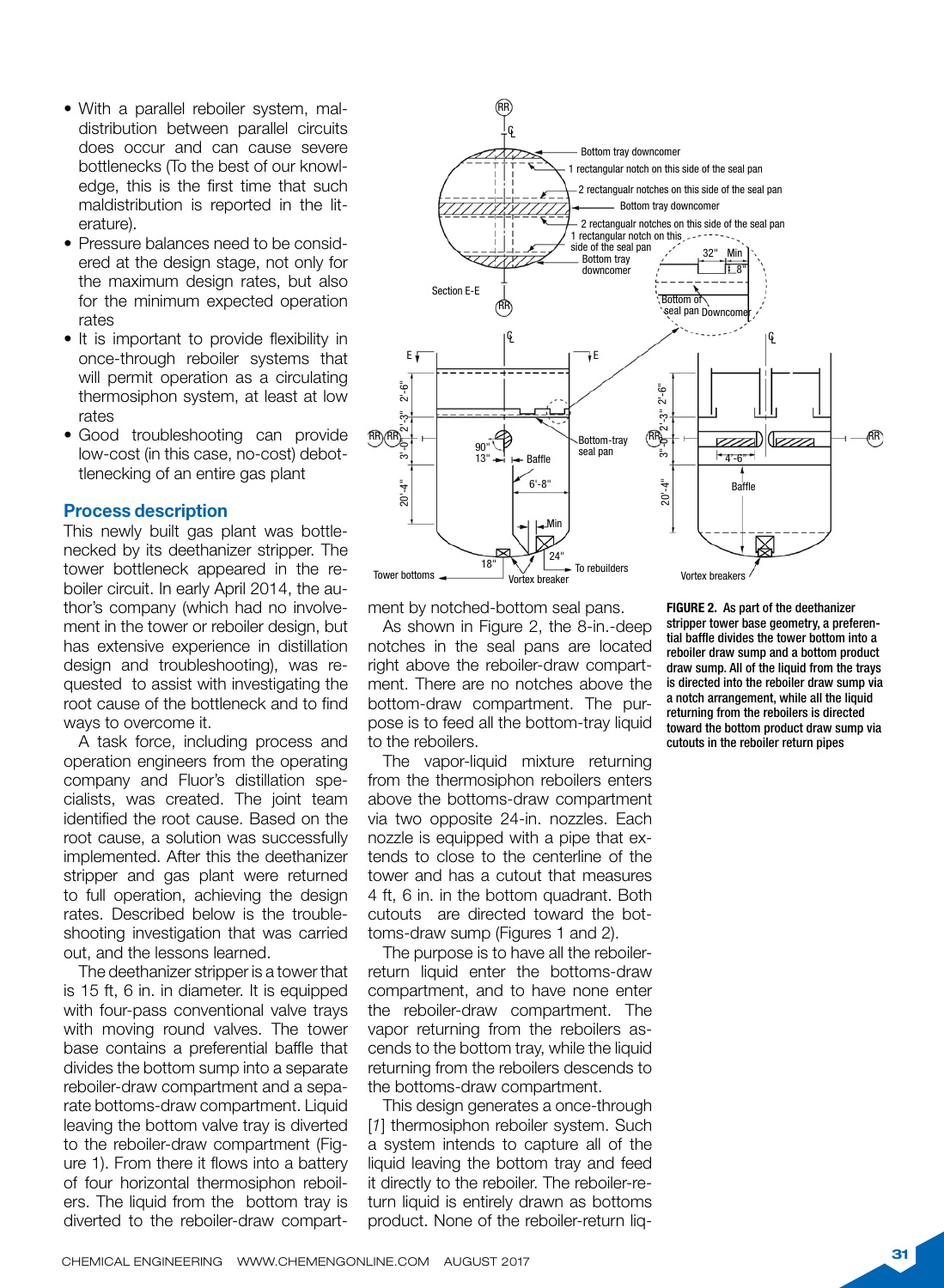- With a parallel reboiler system, maldistribution between parallel circuits does occur and can cause severe bottlenecks (To the best of our knowledge, this is the first time that such maldistribution is reported in the literature).
- Pressure balances need to be considered at the design stage, not only for the maximum design rates, but also for the minimum expected operation rates
- It is important to provide flexibility in once-through reboiler systems that will permit operation as a circulating thermosiphon system, at least at low rates
- Good troubleshooting can provide low-cost (in this case, no-cost) debottlenecking of an entire gas plant

## Process description

This newly built gas plant was bottlenecked by its deethanizer stripper. The tower bottleneck appeared in the reboiler circuit. In early April 2014, the author's company (which had no involvement in the tower or reboiler design, but has extensive experience in distillation design and troubleshooting), was requested to assist with investigating the root cause of the bottleneck and to find ways to overcome it.

A task force, including process and operation engineers from the operating company and Fluor's distillation specialists, was created. The joint team identified the root cause. Based on the root cause, a solution was successfully implemented. After this the deethanizer stripper and gas plant were returned to full operation, achieving the design rates. Described below is the troubleshooting investigation that was carried out, and the lessons learned.

The deethanizer stripper is a tower that is 15 ft, 6 in. in diameter. It is equipped with four-pass conventional valve trays with moving round valves. The tower base contains a preferential baffle that divides the bottom sump into a separate reboiler-draw compartment and a separate bottoms-draw compartment. Liquid leaving the bottom valve tray is diverted to the reboiler-draw compartment (Figure 1). From there it flows into a battery of four horizontal thermosiphon reboilers. The liquid from the bottom tray is diverted to the reboiler-draw compart-



ment by notched-bottom seal pans.

As shown in Figure 2, the 8-in.-deep notches in the seal pans are located right above the reboiler-draw compartment. There are no notches above the bottom-draw compartment. The purpose is to feed all the bottom-tray liquid to the reboilers.

The vapor-liquid mixture returning from the thermosiphon reboilers enters above the bottoms-draw compartment via two opposite 24-in. nozzles. Each nozzle is equipped with a pipe that extends to close to the centerline of the tower and has a cutout that measures 4 ft, 6 in. in the bottom quadrant. Both cutouts are directed toward the bottoms-draw sump (Figures 1 and 2).

The purpose is to have all the reboilerreturn liquid enter the bottoms-draw compartment, and to have none enter the reboiler-draw compartment. The vapor returning from the reboilers ascends to the bottom tray, while the liquid returning from the reboilers descends to the bottoms-draw compartment.

This design generates a once-through [*1*] thermosiphon reboiler system. Such a system intends to capture all of the liquid leaving the bottom tray and feed it directly to the reboiler. The reboiler-return liquid is entirely drawn as bottoms product. None of the reboiler-return liq-

FIGURE 2. As part of the deethanizer stripper tower base geometry, a preferential baffle divides the tower bottom into a reboiler draw sump and a bottom product draw sump. All of the liquid from the trays is directed into the reboiler draw sump via a notch arrangement, while all the liquid returning from the reboilers is directed toward the bottom product draw sump via cutouts in the reboiler return pipes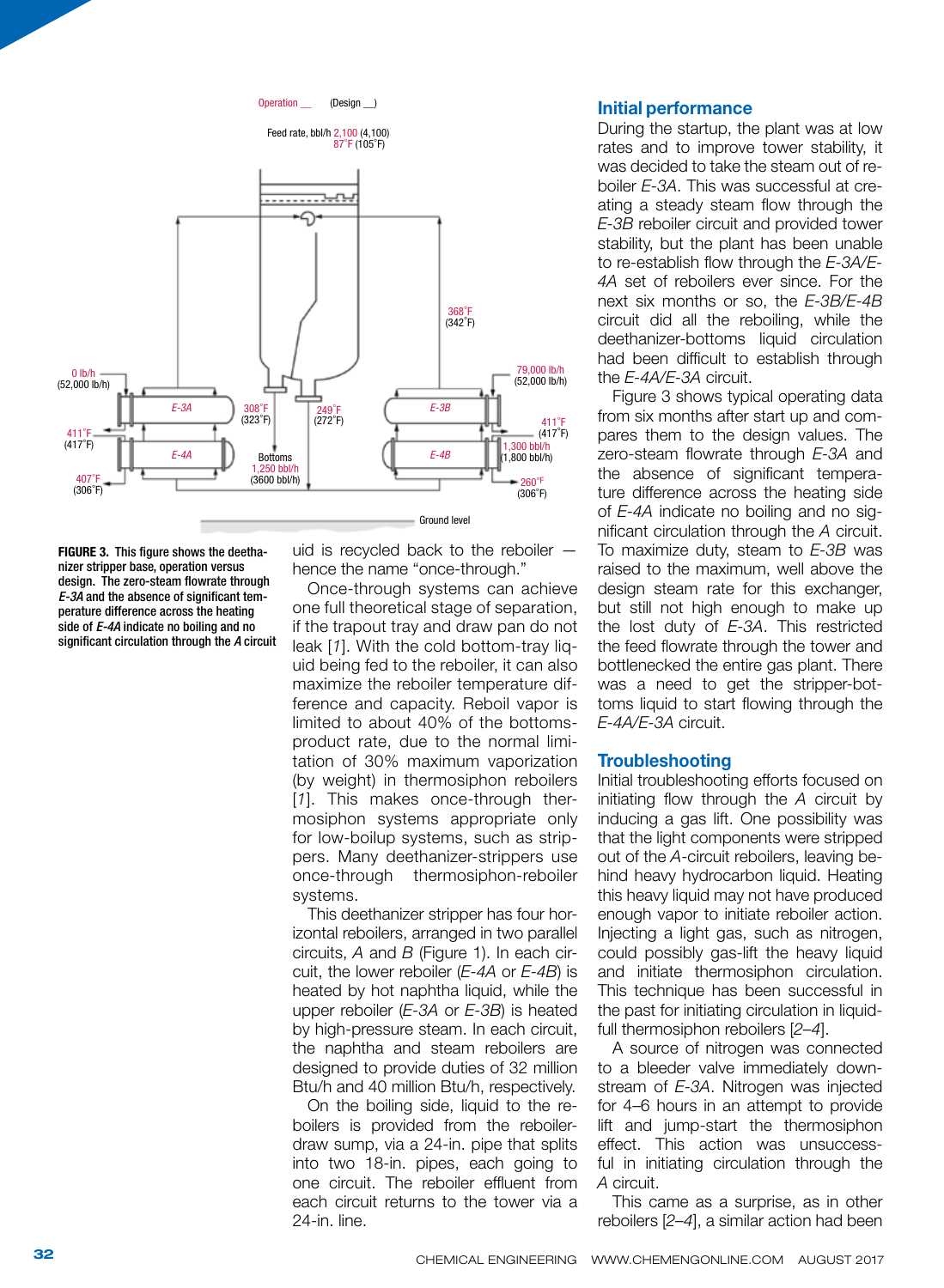

FIGURE 3. This figure shows the deethanizer stripper base, operation versus design. The zero-steam flowrate through *E-3A* and the absence of significant temperature difference across the heating side of *E-4A* indicate no boiling and no significant circulation through the *A* circuit uid is recycled back to the reboiler hence the name "once-through."

Once-through systems can achieve one full theoretical stage of separation, if the trapout tray and draw pan do not leak [*1*]. With the cold bottom-tray liquid being fed to the reboiler, it can also maximize the reboiler temperature difference and capacity. Reboil vapor is limited to about 40% of the bottomsproduct rate, due to the normal limitation of 30% maximum vaporization (by weight) in thermosiphon reboilers [*1*]. This makes once-through thermosiphon systems appropriate only for low-boilup systems, such as strippers. Many deethanizer-strippers use once-through thermosiphon-reboiler systems.

This deethanizer stripper has four horizontal reboilers, arranged in two parallel circuits, *A* and *B* (Figure 1). In each circuit, the lower reboiler (*E-4A* or *E-4B*) is heated by hot naphtha liquid, while the upper reboiler (*E-3A* or *E-3B*) is heated by high-pressure steam. In each circuit, the naphtha and steam reboilers are designed to provide duties of 32 million Btu/h and 40 million Btu/h, respectively.

On the boiling side, liquid to the reboilers is provided from the reboilerdraw sump, via a 24-in. pipe that splits into two 18-in. pipes, each going to one circuit. The reboiler effluent from each circuit returns to the tower via a 24-in. line.

## Initial performance

During the startup, the plant was at low rates and to improve tower stability, it was decided to take the steam out of reboiler *E-3A*. This was successful at creating a steady steam flow through the *E-3B* reboiler circuit and provided tower stability, but the plant has been unable to re-establish flow through the *E-3A/E-4A* set of reboilers ever since. For the next six months or so, the *E-3B/E-4B* circuit did all the reboiling, while the deethanizer-bottoms liquid circulation had been difficult to establish through the *E-4A/E-3A* circuit.

Figure 3 shows typical operating data from six months after start up and compares them to the design values. The zero-steam flowrate through *E-3A* and the absence of significant temperature difference across the heating side of *E-4A* indicate no boiling and no significant circulation through the *A* circuit. To maximize duty, steam to *E-3B* was raised to the maximum, well above the design steam rate for this exchanger, but still not high enough to make up the lost duty of *E-3A*. This restricted the feed flowrate through the tower and bottlenecked the entire gas plant. There was a need to get the stripper-bottoms liquid to start flowing through the *E-4A/E-3A* circuit.

# **Troubleshooting**

Initial troubleshooting efforts focused on initiating flow through the *A* circuit by inducing a gas lift. One possibility was that the light components were stripped out of the *A*-circuit reboilers, leaving behind heavy hydrocarbon liquid. Heating this heavy liquid may not have produced enough vapor to initiate reboiler action. Injecting a light gas, such as nitrogen, could possibly gas-lift the heavy liquid and initiate thermosiphon circulation. This technique has been successful in the past for initiating circulation in liquidfull thermosiphon reboilers [*2–4*].

A source of nitrogen was connected to a bleeder valve immediately downstream of *E-3A*. Nitrogen was injected for 4–6 hours in an attempt to provide lift and jump-start the thermosiphon effect. This action was unsuccessful in initiating circulation through the *A* circuit.

This came as a surprise, as in other reboilers [*2–4*], a similar action had been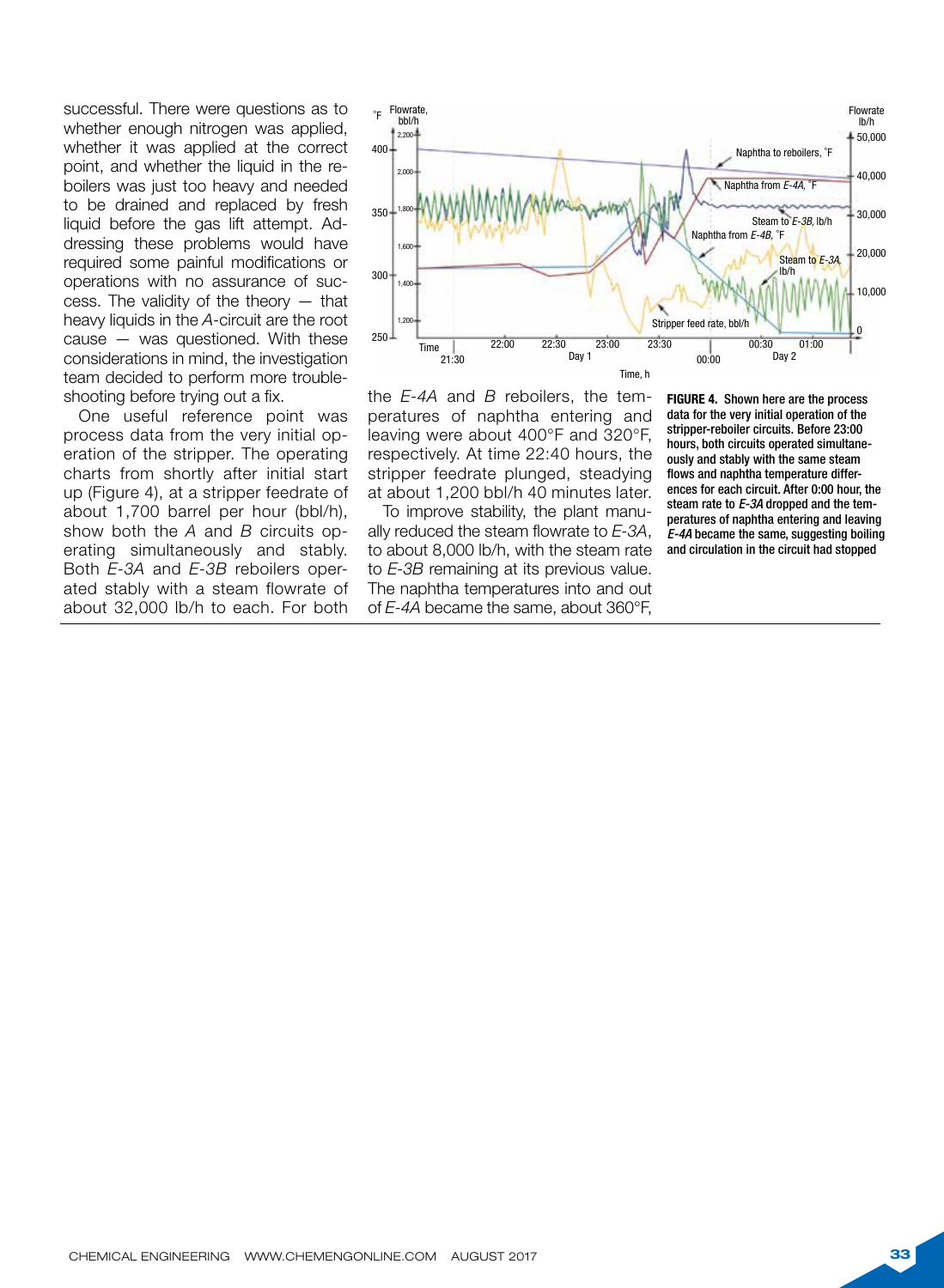successful. There were questions as to whether enough nitrogen was applied, whether it was applied at the correct point, and whether the liquid in the reboilers was just too heavy and needed to be drained and replaced by fresh liquid before the gas lift attempt. Addressing these problems would have required some painful modifications or operations with no assurance of success. The validity of the theory — that heavy liquids in the *A*-circuit are the root cause — was questioned. With these considerations in mind, the investigation team decided to perform more troubleshooting before trying out a fix.

One useful reference point was process data from the very initial operation of the stripper. The operating charts from shortly after initial start up (Figure 4), at a stripper feedrate of about 1,700 barrel per hour (bbl/h), show both the *A* and *B* circuits operating simultaneously and stably. Both *E-3A* and *E-3B* reboilers operated stably with a steam flowrate of The naphtha to about 32,000 lb/h to each. For both



the *E-4A* and *B* reboilers, the temperatures of naphtha entering and leaving were about 400°F and 320°F, respectively. At time 22:40 hours, the stripper feedrate plunged, steadying at about 1,200 bbl/h 40 minutes later.

To improve stability, the plant manually reduced the steam flowrate to *E-3A*, to about 8,000 lb/h, with the steam rate to *E-3B* remaining at its previous value. The naphtha temperatures into and out of *E-4A* became the same, about 360°F,

FIGURE 4. Shown here are the process data for the very initial operation of the stripper-reboiler circuits. Before 23:00 hours, both circuits operated simultaneously and stably with the same steam flows and naphtha temperature differences for each circuit. After 0:00 hour, the steam rate to *E-3A* dropped and the temperatures of naphtha entering and leaving *E-4A* became the same, suggesting boiling and circulation in the circuit had stopped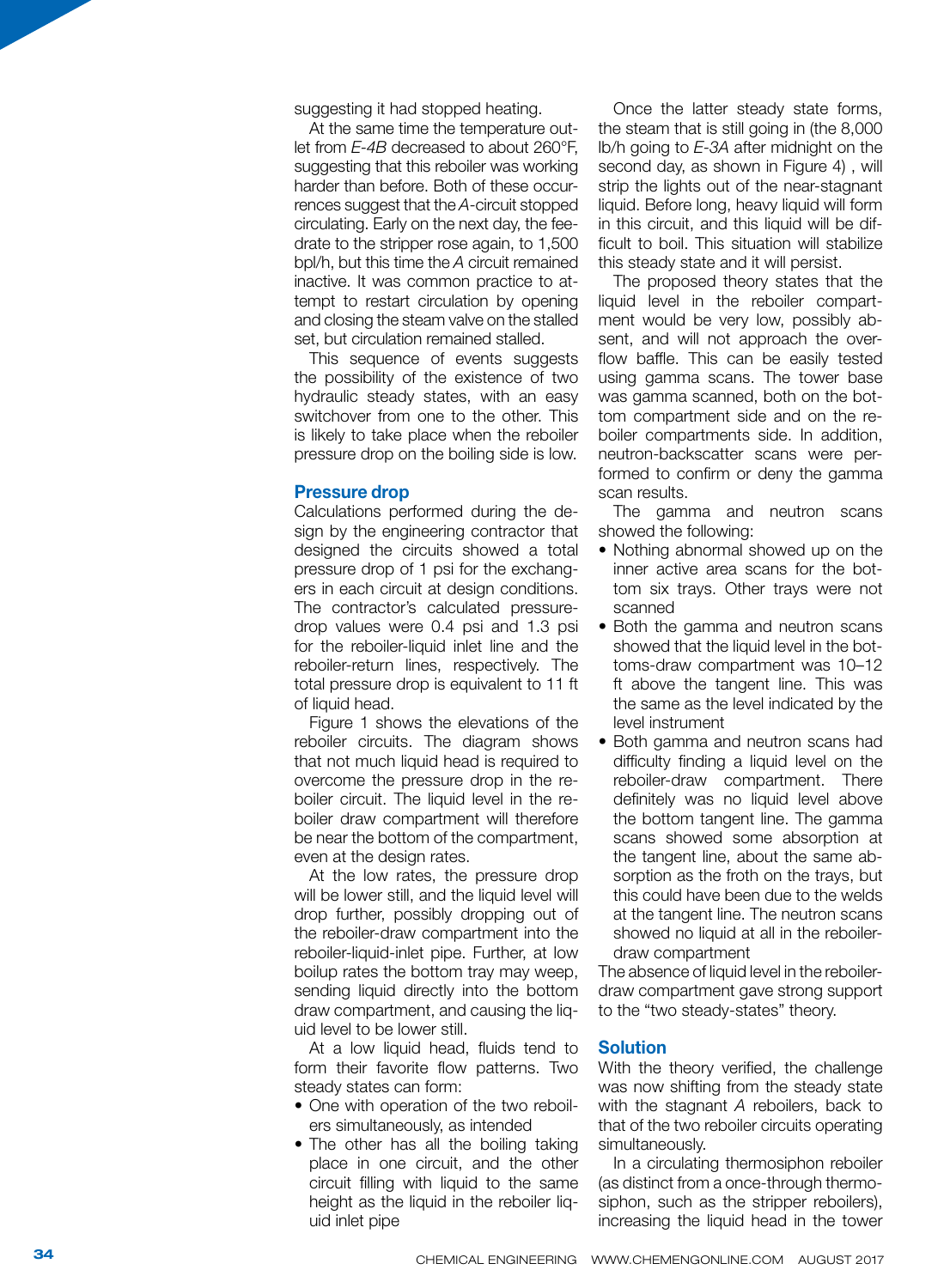suggesting it had stopped heating.

At the same time the temperature out let from *E-4B* decreased to about 260°F, suggesting that this reboiler was working harder than before. Both of these occurrences suggest that the *A*-circuit stopped circulating. Early on the next day, the fee drate to the stripper rose again, to 1,500 bpl/h, but this time the *A* circuit remained inactive. It was common practice to at tempt to restart circulation by opening and closing the steam valve on the stalled set, but circulation remained stalled.

This sequence of events suggests the possibility of the existence of two hydraulic steady states, with an easy switchover from one to the other. This is likely to take place when the reboiler pressure drop on the boiling side is low.

### Pressure drop

Calculations performed during the de sign by the engineering contractor that designed the circuits showed a total pressure drop of 1 psi for the exchang ers in each circuit at design conditions. The contractor's calculated pressuredrop values were 0.4 psi and 1.3 psi for the reboiler-liquid inlet line and the reboiler-return lines, respectively. The total pressure drop is equivalent to 11 ft of liquid head.

Figure 1 shows the elevations of the reboiler circuits. The diagram shows that not much liquid head is required to overcome the pressure drop in the re boiler circuit. The liquid level in the re boiler draw compartment will therefore be near the bottom of the compartment, even at the design rates.

At the low rates, the pressure drop will be lower still, and the liquid level will drop further, possibly dropping out of the reboiler-draw compartment into the reboiler-liquid-inlet pipe. Further, at low boilup rates the bottom tray may weep, sending liquid directly into the bottom draw compartment, and causing the liq uid level to be lower still.

At a low liquid head, fluids tend to form their favorite flow patterns. Two steady states can form: • One with operation of the two reboil -

- ers simultaneously, as intended
- The other has all the boiling taking place in one circuit, and the other circuit filling with liquid to the same height as the liquid in the reboiler liquid inlet pipe

Once the latter steady state forms, the steam that is still going in (the 8,000 lb/h going to *E-3A* after midnight on the second day, as shown in Figure 4) , will strip the lights out of the near-stagnant liquid. Before long, heavy liquid will form in this circuit, and this liquid will be dif ficult to boil. This situation will stabilize this steady state and it will persist.

The proposed theory states that the liquid level in the reboiler compart ment would be very low, possibly ab sent, and will not approach the over flow baffle. This can be easily tested using gamma scans. The tower base was gamma scanned, both on the bot tom compartment side and on the re boiler compartments side. In addition, neutron-backscatter scans were per formed to confirm or deny the gamma scan results.

The gamma and neutron scans showed the following:

- Nothing abnormal showed up on the inner active area scans for the bot tom six trays. Other trays were not scanned
- Both the gamma and neutron scans showed that the liquid level in the bot toms-draw compartment was 10–12 ft above the tangent line. This was the same as the level indicated by the level instrument
- Both gamma and neutron scans had difficulty finding a liquid level on the reboiler-draw compartment. There definitely was no liquid level above the bottom tangent line. The gamma scans showed some absorption at the tangent line, about the same ab sorption as the froth on the trays, but this could have been due to the welds at the tangent line. The neutron scans showed no liquid at all in the reboilerdraw compartment

The absence of liquid level in the reboilerdraw compartment gave strong support to the "two steady-states" theory.

### **Solution**

With the theory verified, the challenge was now shifting from the steady state with the stagnant *A* reboilers, back to that of the two reboiler circuits operating simultaneously.

In a circulating thermosiphon reboiler (as distinct from a once-through thermo siphon, such as the stripper reboilers), increasing the liquid head in the tower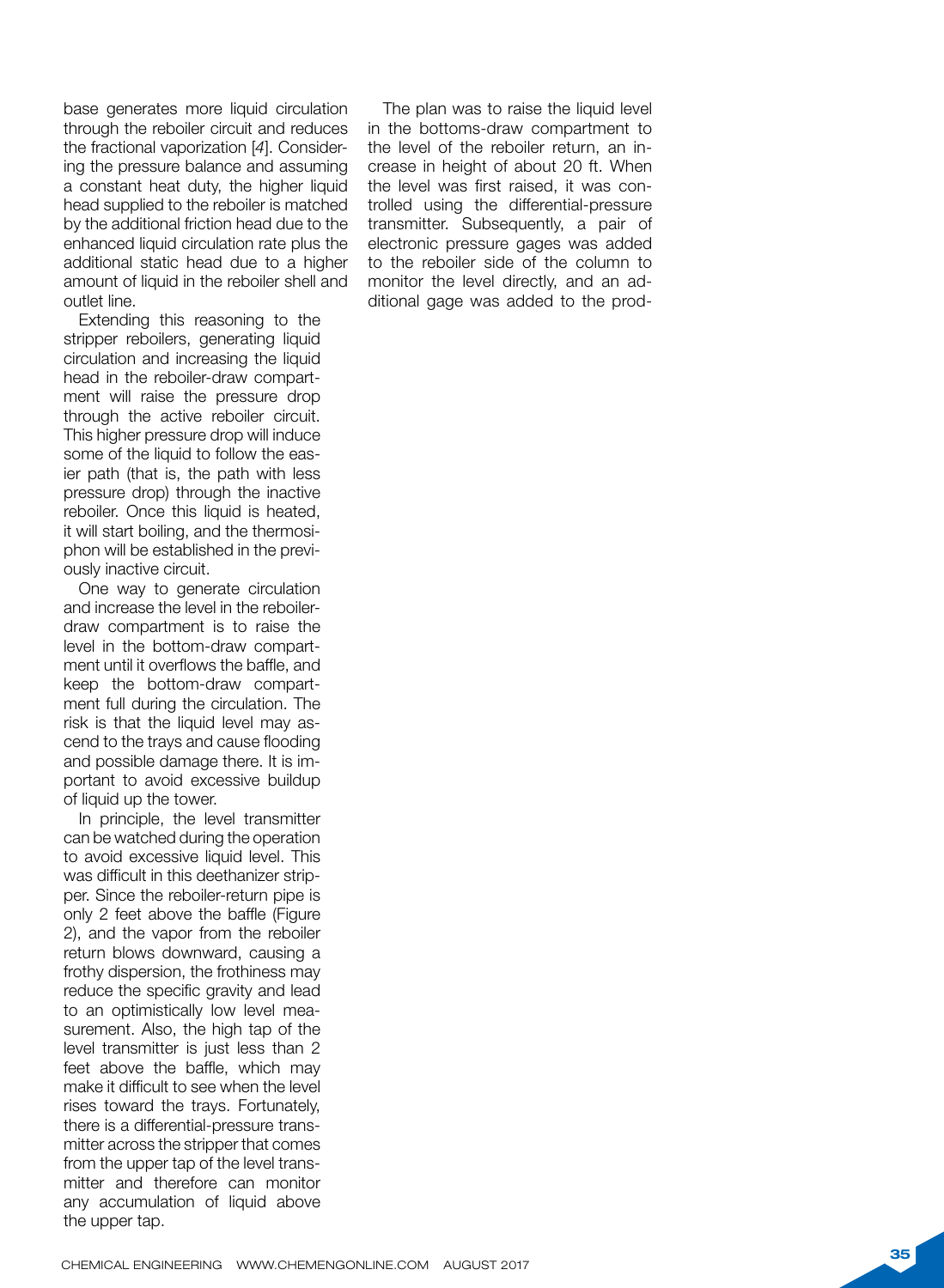base generates more liquid circulation through the reboiler circuit and reduces the fractional vaporization [ *4*]. Consider ing the pressure balance and assuming a constant heat duty, the higher liquid head supplied to the reboiler is matched by the additional friction head due to the enhanced liquid circulation rate plus the additional static head due to a higher amount of liquid in the reboiler shell and outlet line.

Extending this reasoning to the stripper reboilers, generating liquid circulation and increasing the liquid head in the reboiler-draw compart ment will raise the pressure drop through the active reboiler circuit. This higher pressure drop will induce some of the liquid to follow the eas ier path (that is, the path with less pressure drop) through the inactive reboiler. Once this liquid is heated, it will start boiling, and the thermosi phon will be established in the previ ously inactive circuit.

One way to generate circulation and increase the level in the reboilerdraw compartment is to raise the level in the bottom-draw compart ment until it overflows the baffle, and keep the bottom-draw compart ment full during the circulation. The risk is that the liquid level may as cend to the trays and cause flooding and possible damage there. It is im portant to avoid excessive buildup of liquid up the tower.

In principle, the level transmitter can be watched during the operation to avoid excessive liquid level. This was difficult in this deethanizer strip per. Since the reboiler-return pipe is only 2 feet above the baffle (Figure 2), and the vapor from the reboiler return blows downward, causing a frothy dispersion, the frothiness may reduce the specific gravity and lead to an optimistically low level mea surement. Also, the high tap of the level transmitter is just less than 2 feet above the baffle, which may make it difficult to see when the level rises toward the trays. Fortunately, there is a differential-pressure trans mitter across the stripper that comes from the upper tap of the level trans mitter and therefore can monitor any accumulation of liquid above the upper tap.

The plan was to raise the liquid level in the bottoms-draw compartment to the level of the reboiler return, an in crease in height of about 20 ft. When the level was first raised, it was con trolled using the differential-pressure transmitter. Subsequently, a pair of electronic pressure gages was added to the reboiler side of the column to monitor the level directly, and an ad ditional gage was added to the prod -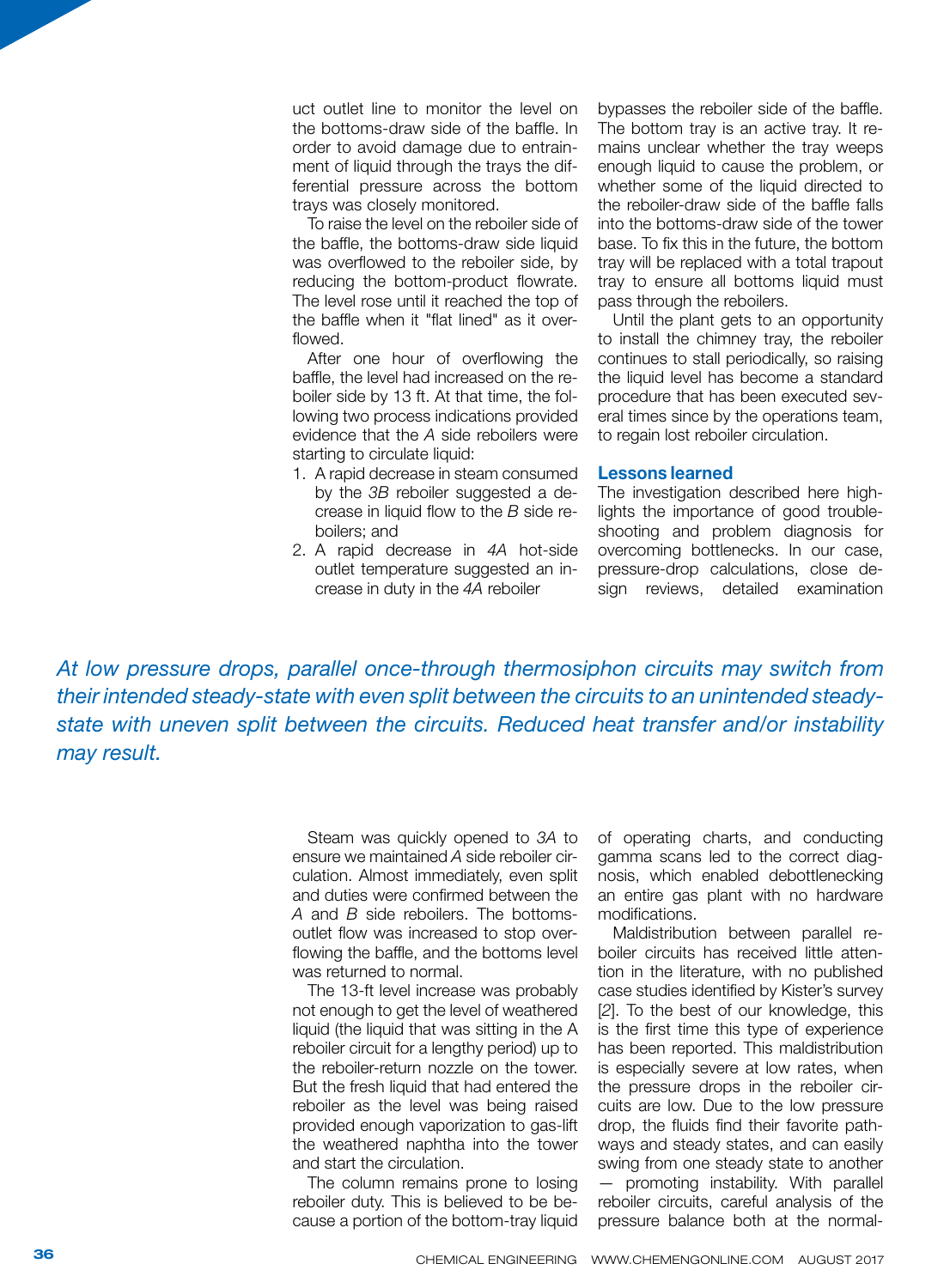uct outlet line to monitor the level on the bottoms-draw side of the baffle. In order to avoid damage due to entrainment of liquid through the trays the differential pressure across the bottom trays was closely monitored.

To raise the level on the reboiler side of the baffle, the bottoms-draw side liquid was overflowed to the reboiler side, by reducing the bottom-product flowrate. The level rose until it reached the top of the baffle when it "flat lined" as it overflowed.

After one hour of overflowing the baffle, the level had increased on the reboiler side by 13 ft. At that time, the following two process indications provided evidence that the *A* side reboilers were starting to circulate liquid:

- 1. A rapid decrease in steam consumed by the *3B* reboiler suggested a decrease in liquid flow to the *B* side reboilers; and
- 2. A rapid decrease in *4A* hot-side outlet temperature suggested an increase in duty in the *4A* reboiler

bypasses the reboiler side of the baffle. The bottom tray is an active tray. It remains unclear whether the tray weeps enough liquid to cause the problem, or whether some of the liquid directed to the reboiler-draw side of the baffle falls into the bottoms-draw side of the tower base. To fix this in the future, the bottom tray will be replaced with a total trapout tray to ensure all bottoms liquid must pass through the reboilers.

Until the plant gets to an opportunity to install the chimney tray, the reboiler continues to stall periodically, so raising the liquid level has become a standard procedure that has been executed several times since by the operations team, to regain lost reboiler circulation.

### Lessons learned

The investigation described here highlights the importance of good troubleshooting and problem diagnosis for overcoming bottlenecks. In our case, pressure-drop calculations, close design reviews, detailed examination

*At low pressure drops, parallel once-through thermosiphon circuits may switch from their intended steady-state with even split between the circuits to an unintended steadystate with uneven split between the circuits. Reduced heat transfer and/or instability may result.*

> Steam was quickly opened to *3A* to ensure we maintained *A* side reboiler circulation. Almost immediately, even split and duties were confirmed between the *A* and *B* side reboilers. The bottomsoutlet flow was increased to stop overflowing the baffle, and the bottoms level was returned to normal.

> The 13-ft level increase was probably not enough to get the level of weathered liquid (the liquid that was sitting in the A reboiler circuit for a lengthy period) up to the reboiler-return nozzle on the tower. But the fresh liquid that had entered the reboiler as the level was being raised provided enough vaporization to gas-lift the weathered naphtha into the tower and start the circulation.

> The column remains prone to losing reboiler duty. This is believed to be because a portion of the bottom-tray liquid

of operating charts, and conducting gamma scans led to the correct diagnosis, which enabled debottlenecking an entire gas plant with no hardware modifications.

Maldistribution between parallel reboiler circuits has received little attention in the literature, with no published case studies identified by Kister's survey [*2*]. To the best of our knowledge, this is the first time this type of experience has been reported. This maldistribution is especially severe at low rates, when the pressure drops in the reboiler circuits are low. Due to the low pressure drop, the fluids find their favorite pathways and steady states, and can easily swing from one steady state to another — promoting instability. With parallel reboiler circuits, careful analysis of the pressure balance both at the normal